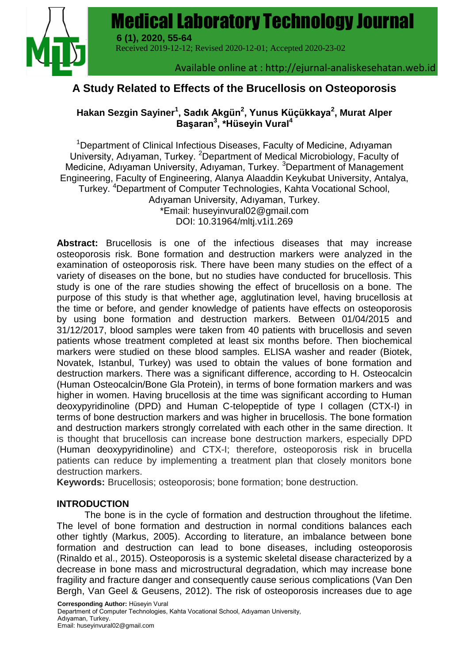**Medical Laboratory Technology Journal** | **55** Medical Laboratory Technology Journal



 Received 2019-12-12; Revised 2020-12-01; Accepted 2020-23-02 **6 (1), 2020, 55-64**

Available online at : http://ejurnal-analiskesehatan.web.id

## **A Study Related to Effects of the Brucellosis on Osteoporosis**

### **Hakan Sezgin Sayiner<sup>1</sup> , Sadık Akgün<sup>2</sup> , Yunus Küçükkaya<sup>2</sup> , Murat Alper Başaran<sup>3</sup> , \*Hüseyin Vural<sup>4</sup>**

<sup>1</sup>Department of Clinical Infectious Diseases, Faculty of Medicine, Adıyaman University, Adıyaman, Turkey. <sup>2</sup>Department of Medical Microbiology, Faculty of Medicine, Adıyaman University, Adıyaman, Turkey. <sup>3</sup>Department of Management Engineering, Faculty of Engineering, Alanya Alaaddin Keykubat University, Antalya, Turkey. <sup>4</sup>Department of Computer Technologies, Kahta Vocational School, Adıyaman University, Adıyaman, Turkey. \*Email: huseyinvural02@gmail.com DOI: 10.31964/mltj.v1i1.269

**Abstract:** Brucellosis is one of the infectious diseases that may increase osteoporosis risk. Bone formation and destruction markers were analyzed in the examination of osteoporosis risk. There have been many studies on the effect of a variety of diseases on the bone, but no studies have conducted for brucellosis. This study is one of the rare studies showing the effect of brucellosis on a bone. The purpose of this study is that whether age, agglutination level, having brucellosis at the time or before, and gender knowledge of patients have effects on osteoporosis by using bone formation and destruction markers. Between 01/04/2015 and 31/12/2017, blood samples were taken from 40 patients with brucellosis and seven patients whose treatment completed at least six months before. Then biochemical markers were studied on these blood samples. ELISA washer and reader (Biotek, Novatek, Istanbul, Turkey) was used to obtain the values of bone formation and destruction markers. There was a significant difference, according to H. Osteocalcin (Human Osteocalcin/Bone Gla Protein), in terms of bone formation markers and was higher in women. Having brucellosis at the time was significant according to Human deoxypyridinoline (DPD) and Human C-telopeptide of type I collagen (CTX-I) in terms of bone destruction markers and was higher in brucellosis. The bone formation and destruction markers strongly correlated with each other in the same direction. It is thought that brucellosis can increase bone destruction markers, especially DPD (Human deoxypyridinoline) and CTX-I; therefore, osteoporosis risk in brucella patients can reduce by implementing a treatment plan that closely monitors bone destruction markers.

**Keywords:** Brucellosis; osteoporosis; bone formation; bone destruction.

#### **INTRODUCTION**

The bone is in the cycle of formation and destruction throughout the lifetime. The level of bone formation and destruction in normal conditions balances each other tightly (Markus, 2005). According to literature, an imbalance between bone formation and destruction can lead to bone diseases, including osteoporosis (Rinaldo et al., 2015). Osteoporosis is a systemic skeletal disease characterized by a decrease in bone mass and microstructural degradation, which may increase bone fragility and fracture danger and consequently cause serious complications (Van Den Bergh, Van Geel & Geusens, 2012). The risk of osteoporosis increases due to age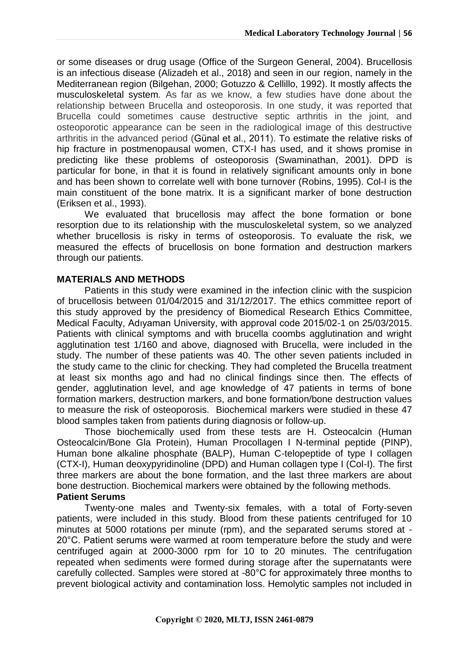or some diseases or drug usage (Office of the Surgeon General, 2004). Brucellosis is an infectious disease (Alizadeh et al., 2018) and seen in our region, namely in the Mediterranean region (Bilgehan, 2000; Gotuzzo & Cellillo, 1992). It mostly affects the musculoskeletal system*.* As far as we know, a few studies have done about the relationship between Brucella and osteoporosis. In one study, it was reported that Brucella could sometimes cause destructive septic arthritis in the joint, and osteoporotic appearance can be seen in the radiological image of this destructive arthritis in the advanced period (Günal et al., 2011). To estimate the relative risks of hip fracture in postmenopausal women, CTX-I has used, and it shows promise in predicting like these problems of osteoporosis (Swaminathan, 2001). DPD is particular for bone, in that it is found in relatively significant amounts only in bone and has been shown to correlate well with bone turnover (Robins, 1995). Col-I is the main constituent of the bone matrix. It is a significant marker of bone destruction (Eriksen et al., 1993).

We evaluated that brucellosis may affect the bone formation or bone resorption due to its relationship with the musculoskeletal system, so we analyzed whether brucellosis is risky in terms of osteoporosis. To evaluate the risk, we measured the effects of brucellosis on bone formation and destruction markers through our patients.

#### **MATERIALS AND METHODS**

Patients in this study were examined in the infection clinic with the suspicion of brucellosis between 01/04/2015 and 31/12/2017. The ethics committee report of this study approved by the presidency of Biomedical Research Ethics Committee, Medical Faculty, Adıyaman University, with approval code 2015/02-1 on 25/03/2015. Patients with clinical symptoms and with brucella coombs agglutination and wright agglutination test 1/160 and above, diagnosed with Brucella, were included in the study. The number of these patients was 40. The other seven patients included in the study came to the clinic for checking. They had completed the Brucella treatment at least six months ago and had no clinical findings since then. The effects of gender, agglutination level, and age knowledge of 47 patients in terms of bone formation markers, destruction markers, and bone formation/bone destruction values to measure the risk of osteoporosis. Biochemical markers were studied in these 47 blood samples taken from patients during diagnosis or follow-up.

Those biochemically used from these tests are H. Osteocalcin (Human Osteocalcin/Bone Gla Protein), Human Procollagen I N-terminal peptide (PINP), Human bone alkaline phosphate (BALP), Human C-telopeptide of type I collagen (CTX-I), Human deoxypyridinoline (DPD) and Human collagen type I (Col-I). The first three markers are about the bone formation, and the last three markers are about bone destruction. Biochemical markers were obtained by the following methods. **Patient Serums** 

Twenty-one males and Twenty-six females, with a total of Forty-seven patients, were included in this study. Blood from these patients centrifuged for 10 minutes at 5000 rotations per minute (rpm), and the separated serums stored at - 20°C. Patient serums were warmed at room temperature before the study and were centrifuged again at 2000-3000 rpm for 10 to 20 minutes. The centrifugation repeated when sediments were formed during storage after the supernatants were carefully collected. Samples were stored at -80°C for approximately three months to prevent biological activity and contamination loss. Hemolytic samples not included in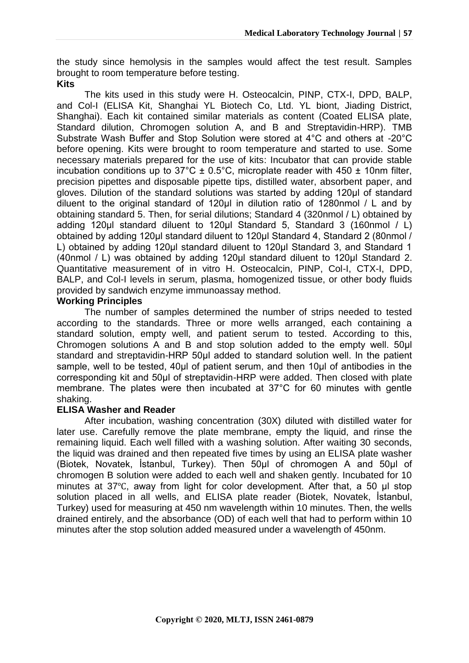the study since hemolysis in the samples would affect the test result. Samples brought to room temperature before testing.

#### **Kits**

The kits used in this study were H. Osteocalcin, PINP, CTX-I, DPD, BALP, and Col-I (ELISA Kit, Shanghai YL Biotech Co, Ltd. YL biont, Jiading District, Shanghai). Each kit contained similar materials as content (Coated ELISA plate, Standard dilution, Chromogen solution A, and B and Streptavidin-HRP). TMB Substrate Wash Buffer and Stop Solution were stored at 4°C and others at -20°C before opening. Kits were brought to room temperature and started to use. Some necessary materials prepared for the use of kits: Incubator that can provide stable incubation conditions up to  $37^{\circ}$ C ± 0.5°C, microplate reader with 450 ± 10nm filter, precision pipettes and disposable pipette tips, distilled water, absorbent paper, and gloves. Dilution of the standard solutions was started by adding 120μl of standard diluent to the original standard of 120μl in dilution ratio of 1280nmol / L and by obtaining standard 5. Then, for serial dilutions; Standard 4 (320nmol / L) obtained by adding 120μl standard diluent to 120μl Standard 5, Standard 3 (160nmol / L) obtained by adding 120μl standard diluent to 120μl Standard 4, Standard 2 (80nmol / L) obtained by adding 120μl standard diluent to 120μl Standard 3, and Standard 1 (40nmol / L) was obtained by adding 120μl standard diluent to 120μl Standard 2. Quantitative measurement of in vitro H. Osteocalcin, PINP, Col-I, CTX-I, DPD, BALP, and Col-I levels in serum, plasma, homogenized tissue, or other body fluids provided by sandwich enzyme immunoassay method.

### **Working Principles**

The number of samples determined the number of strips needed to tested according to the standards. Three or more wells arranged, each containing a standard solution, empty well, and patient serum to tested. According to this, Chromogen solutions A and B and stop solution added to the empty well. 50μl standard and streptavidin-HRP 50μl added to standard solution well. In the patient sample, well to be tested, 40μl of patient serum, and then 10μl of antibodies in the corresponding kit and 50μl of streptavidin-HRP were added. Then closed with plate membrane. The plates were then incubated at 37°C for 60 minutes with gentle shaking.

#### **ELISA Washer and Reader**

After incubation, washing concentration (30X) diluted with distilled water for later use. Carefully remove the plate membrane, empty the liquid, and rinse the remaining liquid. Each well filled with a washing solution. After waiting 30 seconds, the liquid was drained and then repeated five times by using an ELISA plate washer (Biotek, Novatek, İstanbul, Turkey). Then 50μl of chromogen A and 50μl of chromogen B solution were added to each well and shaken gently. Incubated for 10 minutes at 37℃, away from light for color development. After that, a 50 µl stop solution placed in all wells, and ELISA plate reader (Biotek, Novatek, İstanbul, Turkey) used for measuring at 450 nm wavelength within 10 minutes. Then, the wells drained entirely, and the absorbance (OD) of each well that had to perform within 10 minutes after the stop solution added measured under a wavelength of 450nm.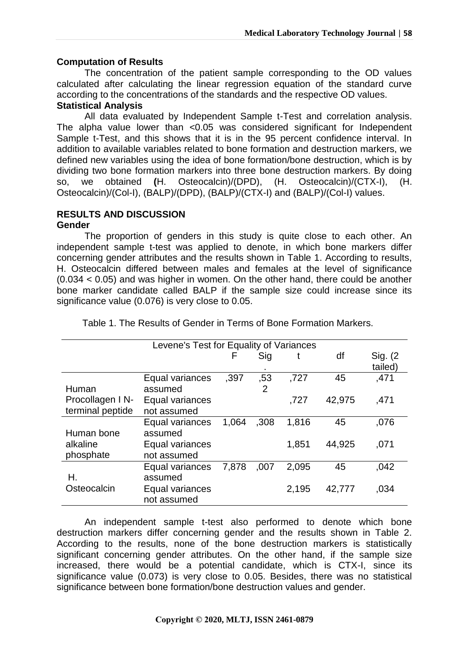#### **Computation of Results**

The concentration of the patient sample corresponding to the OD values calculated after calculating the linear regression equation of the standard curve according to the concentrations of the standards and the respective OD values.

#### **Statistical Analysis**

All data evaluated by Independent Sample t-Test and correlation analysis. The alpha value lower than <0.05 was considered significant for Independent Sample t-Test, and this shows that it is in the 95 percent confidence interval. In addition to available variables related to bone formation and destruction markers, we defined new variables using the idea of bone formation/bone destruction, which is by dividing two bone formation markers into three bone destruction markers. By doing so, we obtained **(**H. Osteocalcin)/(DPD), (H. Osteocalcin)/(CTX-I), (H. Osteocalcin)/(Col-I), (BALP)/(DPD), (BALP)/(CTX-I) and (BALP)/(Col-I) values.

# **RESULTS AND DISCUSSION**

#### **Gender**

The proportion of genders in this study is quite close to each other. An independent sample t-test was applied to denote, in which bone markers differ concerning gender attributes and the results shown in Table 1. According to results, H. Osteocalcin differed between males and females at the level of significance (0.034 < 0.05) and was higher in women. On the other hand, there could be another bone marker candidate called BALP if the sample size could increase since its significance value (0.076) is very close to 0.05.

|                                     | Levene's Test for Equality of Variances |       |                       |       |        |                     |
|-------------------------------------|-----------------------------------------|-------|-----------------------|-------|--------|---------------------|
|                                     |                                         | F     | Sig                   |       | df     | Sig. (2)<br>tailed) |
| Human                               | Equal variances<br>assumed              | ,397  | ,53<br>$\overline{2}$ | ,727  | 45     | ,471                |
| Procollagen IN-<br>terminal peptide | Equal variances<br>not assumed          |       |                       | ,727  | 42,975 | ,471                |
| Human bone                          | Equal variances<br>assumed              | 1,064 | ,308                  | 1,816 | 45     | ,076                |
| alkaline<br>phosphate               | Equal variances<br>not assumed          |       |                       | 1,851 | 44,925 | ,071                |
| Н.                                  | Equal variances<br>assumed              | 7,878 | ,007                  | 2,095 | 45     | ,042                |
| Osteocalcin                         | Equal variances<br>not assumed          |       |                       | 2.195 | 42,777 | ,034                |

Table 1. The Results of Gender in Terms of Bone Formation Markers.

An independent sample t-test also performed to denote which bone destruction markers differ concerning gender and the results shown in Table 2. According to the results, none of the bone destruction markers is statistically significant concerning gender attributes. On the other hand, if the sample size increased, there would be a potential candidate, which is CTX-I, since its significance value (0.073) is very close to 0.05. Besides, there was no statistical significance between bone formation/bone destruction values and gender.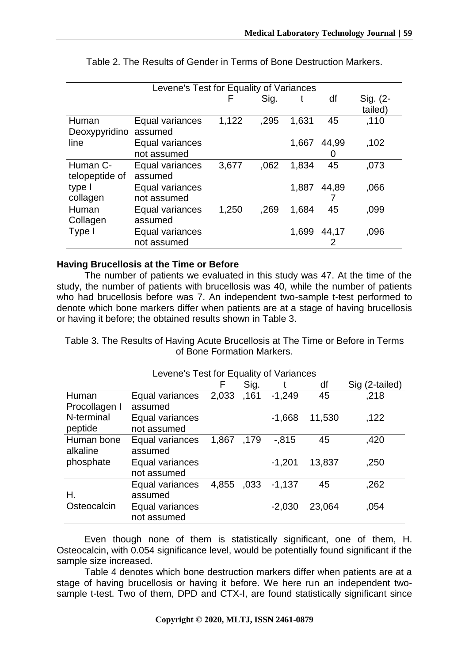|                            | Levene's Test for Equality of Variances |       |      |       |            |                     |  |
|----------------------------|-----------------------------------------|-------|------|-------|------------|---------------------|--|
|                            |                                         | ⊢     | Sig. |       | df         | Sig. (2-<br>tailed) |  |
| Human<br>Deoxypyridino     | Equal variances<br>assumed              | 1,122 | ,295 | 1,631 | 45         | ,110                |  |
| line                       | Equal variances<br>not assumed          |       |      | 1,667 | 44,99      | ,102                |  |
| Human C-<br>telopeptide of | Equal variances<br>assumed              | 3,677 | .062 | 1,834 | 45         | ,073                |  |
| type I<br>collagen         | Equal variances<br>not assumed          |       |      | 1,887 | 44,89      | ,066                |  |
| Human<br>Collagen          | Equal variances<br>assumed              | 1,250 | ,269 | 1,684 | 45         | ,099                |  |
| Type I                     | Equal variances<br>not assumed          |       |      | 1,699 | 44,17<br>2 | ,096                |  |

Table 2. The Results of Gender in Terms of Bone Destruction Markers.

#### **Having Brucellosis at the Time or Before**

The number of patients we evaluated in this study was 47. At the time of the study, the number of patients with brucellosis was 40, while the number of patients who had brucellosis before was 7. An independent two-sample t-test performed to denote which bone markers differ when patients are at a stage of having brucellosis or having it before; the obtained results shown in Table 3.

Table 3. The Results of Having Acute Brucellosis at The Time or Before in Terms of Bone Formation Markers.

|               | Levene's Test for Equality of Variances |       |      |          |        |                |  |  |
|---------------|-----------------------------------------|-------|------|----------|--------|----------------|--|--|
|               |                                         | F     | Sig. |          | df     | Sig (2-tailed) |  |  |
| Human         | Equal variances                         | 2,033 | ,161 | $-1,249$ | 45     | ,218           |  |  |
| Procollagen I | assumed                                 |       |      |          |        |                |  |  |
| N-terminal    | Equal variances                         |       |      | $-1,668$ | 11,530 | .122           |  |  |
| peptide       | not assumed                             |       |      |          |        |                |  |  |
| Human bone    | Equal variances                         | 1,867 | ,179 | $-0.815$ | 45     | ,420           |  |  |
| alkaline      | assumed                                 |       |      |          |        |                |  |  |
| phosphate     | Equal variances                         |       |      | $-1,201$ | 13,837 | ,250           |  |  |
|               | not assumed                             |       |      |          |        |                |  |  |
|               | Equal variances                         | 4,855 | ,033 | $-1,137$ | 45     | ,262           |  |  |
| Н.            | assumed                                 |       |      |          |        |                |  |  |
| Osteocalcin   | Equal variances                         |       |      | $-2,030$ | 23,064 | ,054           |  |  |
|               | not assumed                             |       |      |          |        |                |  |  |

Even though none of them is statistically significant, one of them, H. Osteocalcin, with 0.054 significance level, would be potentially found significant if the sample size increased.

Table 4 denotes which bone destruction markers differ when patients are at a stage of having brucellosis or having it before. We here run an independent twosample t-test. Two of them, DPD and CTX-I, are found statistically significant since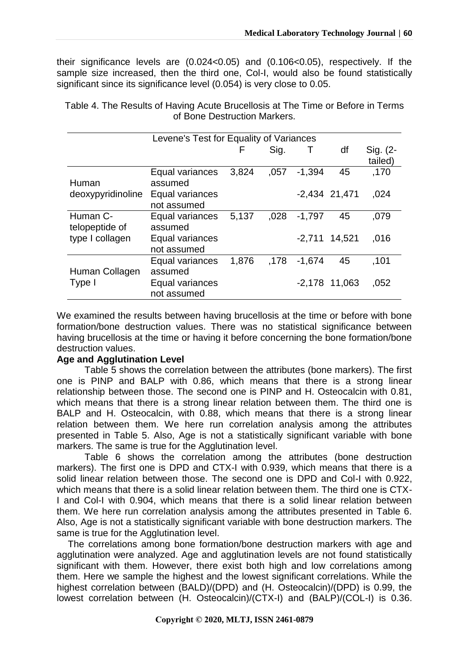their significance levels are (0.024<0.05) and (0.106<0.05), respectively. If the sample size increased, then the third one, Col-I, would also be found statistically significant since its significance level (0.054) is very close to 0.05.

| Table 4. The Results of Having Acute Brucellosis at The Time or Before in Terms |
|---------------------------------------------------------------------------------|
| of Bone Destruction Markers.                                                    |

| Levene's Test for Equality of Variances |                                |       |      |          |                 |                     |  |  |
|-----------------------------------------|--------------------------------|-------|------|----------|-----------------|---------------------|--|--|
|                                         |                                | F     | Sig. | Τ        | df              | Sig. (2-<br>tailed) |  |  |
| Human                                   | Equal variances<br>assumed     | 3,824 | .057 | $-1,394$ | 45              | ,170                |  |  |
| deoxypyridinoline                       | Equal variances<br>not assumed |       |      |          | $-2,434$ 21,471 | ,024                |  |  |
| Human C-<br>telopeptide of              | Equal variances<br>assumed     | 5,137 | 028  | $-1,797$ | 45              | .079                |  |  |
| type I collagen                         | Equal variances<br>not assumed |       |      | $-2,711$ | 14,521          | .016                |  |  |
| Human Collagen                          | Equal variances<br>assumed     | 1,876 | .178 | $-1,674$ | 45              | .101                |  |  |
| Type I                                  | Equal variances<br>not assumed |       |      |          | $-2,178$ 11,063 | ,052                |  |  |

We examined the results between having brucellosis at the time or before with bone formation/bone destruction values. There was no statistical significance between having brucellosis at the time or having it before concerning the bone formation/bone destruction values.

#### **Age and Agglutination Level**

Table 5 shows the correlation between the attributes (bone markers). The first one is PINP and BALP with 0.86, which means that there is a strong linear relationship between those. The second one is PINP and H. Osteocalcin with 0.81, which means that there is a strong linear relation between them. The third one is BALP and H. Osteocalcin, with 0.88, which means that there is a strong linear relation between them. We here run correlation analysis among the attributes presented in Table 5. Also, Age is not a statistically significant variable with bone markers. The same is true for the Agglutination level.

Table 6 shows the correlation among the attributes (bone destruction markers). The first one is DPD and CTX-I with 0.939, which means that there is a solid linear relation between those. The second one is DPD and Col-I with 0.922, which means that there is a solid linear relation between them. The third one is CTX-I and Col-I with 0.904, which means that there is a solid linear relation between them. We here run correlation analysis among the attributes presented in Table 6. Also, Age is not a statistically significant variable with bone destruction markers. The same is true for the Agglutination level.

The correlations among bone formation/bone destruction markers with age and agglutination were analyzed. Age and agglutination levels are not found statistically significant with them. However, there exist both high and low correlations among them. Here we sample the highest and the lowest significant correlations. While the highest correlation between (BALD)/(DPD) and (H. Osteocalcin)/(DPD) is 0.99, the lowest correlation between (H. Osteocalcin)/(CTX-I) and (BALP)/(COL-I) is 0.36.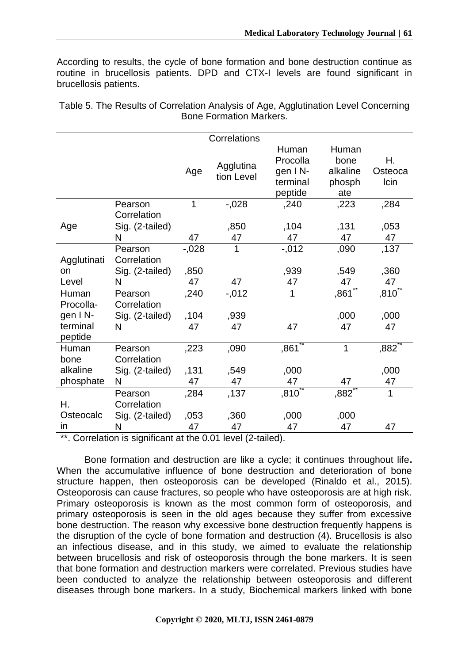According to results, the cycle of bone formation and bone destruction continue as routine in brucellosis patients. DPD and CTX-I levels are found significant in brucellosis patients.

Table 5. The Results of Correlation Analysis of Age, Agglutination Level Concerning Bone Formation Markers.

|                     |                        |            | Correlations            |                                                     |                                            |                       |
|---------------------|------------------------|------------|-------------------------|-----------------------------------------------------|--------------------------------------------|-----------------------|
|                     |                        | Age        | Agglutina<br>tion Level | Human<br>Procolla<br>gen IN-<br>terminal<br>peptide | Human<br>bone<br>alkaline<br>phosph<br>ate | Η.<br>Osteoca<br>Icin |
|                     | Pearson<br>Correlation | 1          | $-0.028$                | ,240                                                | ,223                                       | ,284                  |
| Age                 | Sig. (2-tailed)<br>N   | 47         | ,850<br>47              | ,104<br>47                                          | ,131<br>47                                 | ,053<br>47            |
|                     | Pearson                | $-0.028$   | $\mathbf{1}$            | $-0.012$                                            | ,090                                       | ,137                  |
| Agglutinati         | Correlation            |            |                         |                                                     |                                            |                       |
| on<br>Level         | Sig. (2-tailed)<br>N   | ,850<br>47 | 47                      | ,939<br>47                                          | ,549<br>47                                 | ,360<br>47            |
| Human<br>Procolla-  | Pearson<br>Correlation | ,240       | $-0.012$                | 1                                                   | ,861                                       | $,810^\degree$        |
| gen IN-             | Sig. (2-tailed)        | .104       | ,939                    |                                                     | ,000                                       | ,000                  |
| terminal<br>peptide | N                      | 47         | 47                      | 47                                                  | 47                                         | 47                    |
| Human<br>bone       | Pearson<br>Correlation | ,223       | ,090                    | ,861                                                | 1                                          | ,882                  |
| alkaline            | Sig. (2-tailed)        | ,131       | ,549                    | ,000                                                |                                            | ,000                  |
| phosphate           | N                      | 47         | 47                      | 47                                                  | 47                                         | 47                    |
|                     | Pearson                | ,284       | ,137                    | ,810                                                | ,882                                       | 1                     |
| Η.                  | Correlation            |            |                         |                                                     |                                            |                       |
| Osteocalc           | Sig. (2-tailed)        | ,053       | ,360                    | ,000                                                | ,000                                       |                       |
| <i>in</i>           | N                      | 47         | 47                      | 47                                                  | 47                                         | 47                    |

\*\*. Correlation is significant at the 0.01 level (2-tailed).

Bone formation and destruction are like a cycle; it continues throughout life**.** When the accumulative influence of bone destruction and deterioration of bone structure happen, then osteoporosis can be developed (Rinaldo et al., 2015). Osteoporosis can cause fractures, so people who have osteoporosis are at high risk. Primary osteoporosis is known as the most common form of osteoporosis, and primary osteoporosis is seen in the old ages because they suffer from excessive bone destruction. The reason why excessive bone destruction frequently happens is the disruption of the cycle of bone formation and destruction (4). Brucellosis is also an infectious disease, and in this study, we aimed to evaluate the relationship between brucellosis and risk of osteoporosis through the bone markers. It is seen that bone formation and destruction markers were correlated. Previous studies have been conducted to analyze the relationship between osteoporosis and different diseases through bone markers. In a study, Biochemical markers linked with bone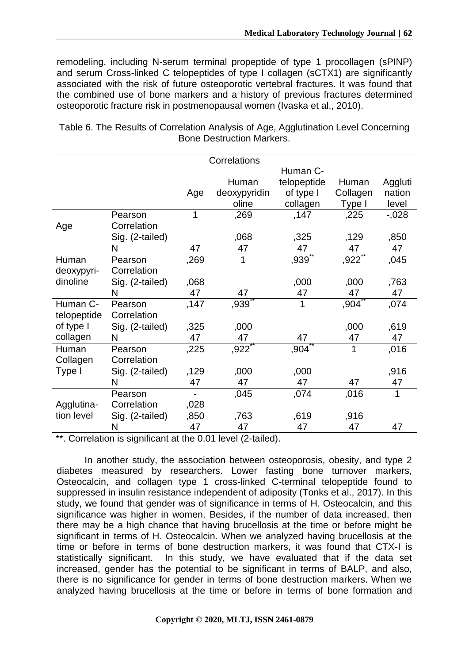remodeling, including N-serum terminal propeptide of type 1 procollagen (sPINP) and serum Cross-linked C telopeptides of type I collagen (sCTX1) are significantly associated with the risk of future osteoporotic vertebral fractures. It was found that the combined use of bone markers and a history of previous fractures determined osteoporotic fracture risk in postmenopausal women (Ivaska et al., 2010).

|                               |      | Correlations |             |          |          |
|-------------------------------|------|--------------|-------------|----------|----------|
|                               |      |              | Human C-    |          |          |
|                               |      | Human        | telopeptide | Human    | Aggluti  |
|                               | Age  | deoxypyridin | of type I   | Collagen | nation   |
|                               |      | oline        | collagen    | Type I   | level    |
| Pearson                       | 1    | ,269         | ,147        | ,225     | $-0.028$ |
| Correlation<br>Age            |      |              |             |          |          |
| Sig. (2-tailed)               |      | .068         | ,325        | ,129     | ,850     |
| N                             | 47   | 47           | 47          | 47       | 47       |
| Human<br>Pearson              | ,269 | 1            | ,939        | ,922     | ,045     |
| Correlation<br>deoxypyri-     |      |              |             |          |          |
| dinoline<br>Sig. (2-tailed)   | ,068 |              | ,000        | ,000     | ,763     |
| N                             | 47   | 47           | 47          | 47       | 47       |
| Human C-<br>Pearson           | ,147 | ,939         | 1           | ,904     | ,074     |
| telopeptide<br>Correlation    |      |              |             |          |          |
| of type I<br>Sig. (2-tailed)  | ,325 | ,000         |             | ,000     | ,619     |
| collagen<br>N                 | 47   | 47           | 47          | 47       | 47       |
| Human<br>Pearson              | ,225 | ,922         | ,904        | 1        | ,016     |
| Collagen<br>Correlation       |      |              |             |          |          |
| Type I<br>Sig. (2-tailed)     | ,129 | ,000         | ,000        |          | ,916     |
| N                             | 47   | 47           | 47          | 47       | 47       |
| Pearson                       |      | ,045         | ,074        | ,016     | 1        |
| Agglutina-<br>Correlation     | ,028 |              |             |          |          |
| tion level<br>Sig. (2-tailed) | ,850 | ,763         | ,619        | ,916     |          |
| N                             | 47   | 47           | 47          | 47       | 47       |

Table 6. The Results of Correlation Analysis of Age, Agglutination Level Concerning Bone Destruction Markers.

\*\*. Correlation is significant at the 0.01 level (2-tailed).

In another study, the association between osteoporosis, obesity, and type 2 diabetes measured by researchers. Lower fasting bone turnover markers, Osteocalcin, and collagen type 1 cross-linked C-terminal telopeptide found to suppressed in insulin resistance independent of adiposity (Tonks et al., 2017). In this study, we found that gender was of significance in terms of H. Osteocalcin, and this significance was higher in women. Besides, if the number of data increased, then there may be a high chance that having brucellosis at the time or before might be significant in terms of H. Osteocalcin. When we analyzed having brucellosis at the time or before in terms of bone destruction markers, it was found that CTX-I is statistically significant. In this study, we have evaluated that if the data set increased, gender has the potential to be significant in terms of BALP, and also, there is no significance for gender in terms of bone destruction markers. When we analyzed having brucellosis at the time or before in terms of bone formation and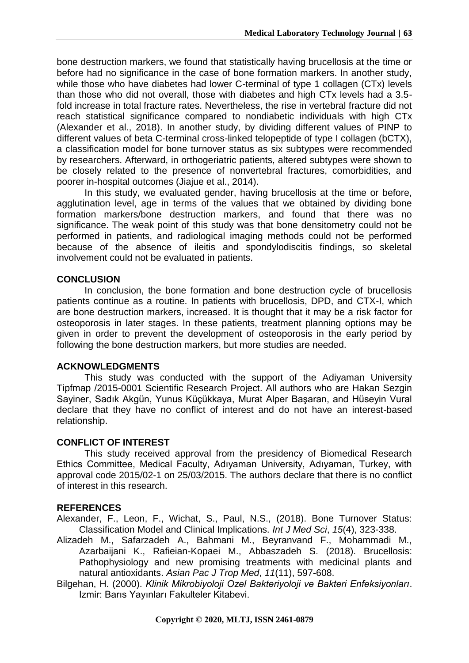bone destruction markers, we found that statistically having brucellosis at the time or before had no significance in the case of bone formation markers. In another study, while those who have diabetes had lower C-terminal of type 1 collagen (CTx) levels than those who did not overall, those with diabetes and high CTx levels had a 3.5 fold increase in total fracture rates. Nevertheless, the rise in vertebral fracture did not reach statistical significance compared to nondiabetic individuals with high CTx (Alexander et al., 2018). In another study, by dividing different values of PINP to different values of beta C-terminal cross-linked telopeptide of type I collagen (bCTX), a classification model for bone turnover status as six subtypes were recommended by researchers. Afterward, in orthogeriatric patients, altered subtypes were shown to be closely related to the presence of nonvertebral fractures, comorbidities, and poorer in-hospital outcomes (Jiajue et al., 2014).

In this study, we evaluated gender, having brucellosis at the time or before, agglutination level, age in terms of the values that we obtained by dividing bone formation markers/bone destruction markers, and found that there was no significance. The weak point of this study was that bone densitometry could not be performed in patients, and radiological imaging methods could not be performed because of the absence of ileitis and spondylodiscitis findings, so skeletal involvement could not be evaluated in patients.

#### **CONCLUSION**

In conclusion, the bone formation and bone destruction cycle of brucellosis patients continue as a routine. In patients with brucellosis, DPD, and CTX-I, which are bone destruction markers, increased. It is thought that it may be a risk factor for osteoporosis in later stages. In these patients, treatment planning options may be given in order to prevent the development of osteoporosis in the early period by following the bone destruction markers, but more studies are needed.

#### **ACKNOWLEDGMENTS**

This study was conducted with the support of the Adiyaman University Tipfmap /2015-0001 Scientific Research Project. All authors who are Hakan Sezgin Sayiner, Sadık Akgün, Yunus Küçükkaya, Murat Alper Başaran, and Hüseyin Vural declare that they have no conflict of interest and do not have an interest-based relationship.

#### **CONFLICT OF INTEREST**

This study received approval from the presidency of Biomedical Research Ethics Committee, Medical Faculty, Adıyaman University, Adıyaman, Turkey, with approval code 2015/02-1 on 25/03/2015. The authors declare that there is no conflict of interest in this research.

#### **REFERENCES**

Alexander, F., Leon, F., Wichat, S., Paul, N.S., (2018). Bone Turnover Status: Classification Model and Clinical Implications. *Int J Med Sci*, *15*(4), 323-338.

- Alizadeh M., Safarzadeh A., Bahmani M., Beyranvand F., Mohammadi M., Azarbaijani K., Rafieian-Kopaei M., Abbaszadeh S. (2018). Brucellosis: Pathophysiology and new promising treatments with medicinal plants and natural antioxidants. *Asian Pac J Trop Med*, *11*(11), 597-608.
- Bilgehan, H. (2000). *Klinik Mikrobiyoloji Ozel Bakteriyoloji ve Bakteri Enfeksiyonları*. Izmir: Barıs Yayınları Fakulteler Kitabevi.